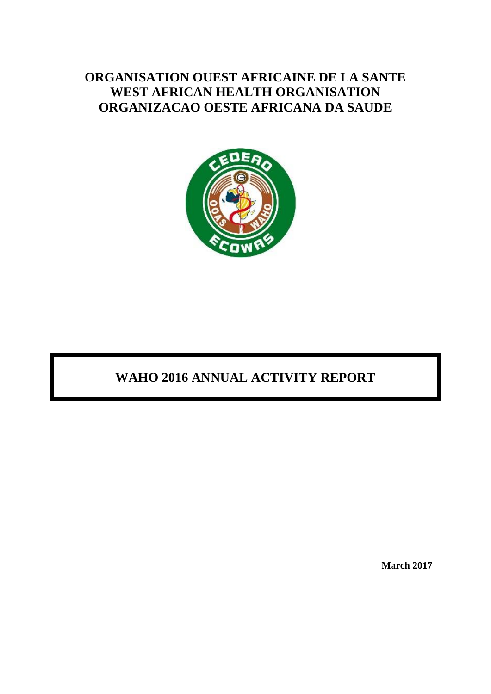# **ORGANISATION OUEST AFRICAINE DE LA SANTE WEST AFRICAN HEALTH ORGANISATION ORGANIZACAO OESTE AFRICANA DA SAUDE**



# **WAHO 2016 ANNUAL ACTIVITY REPORT**

 **March 2017**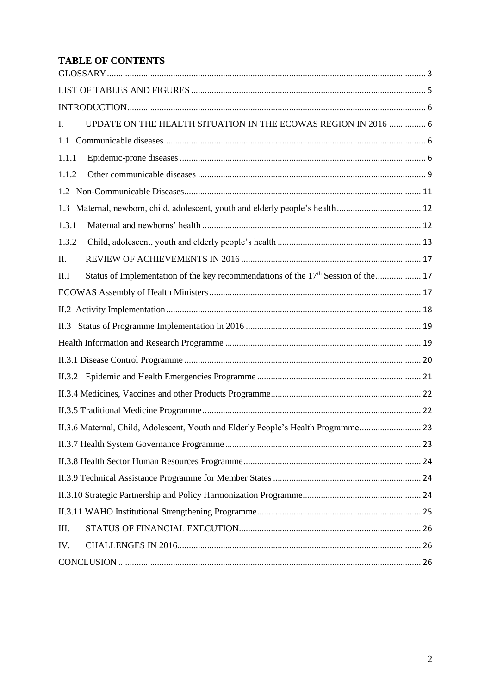# **TABLE OF CONTENTS**

| UPDATE ON THE HEALTH SITUATION IN THE ECOWAS REGION IN 2016  6<br>I.                                   |  |
|--------------------------------------------------------------------------------------------------------|--|
|                                                                                                        |  |
| 1.1.1                                                                                                  |  |
| 1.1.2                                                                                                  |  |
| 1.2                                                                                                    |  |
| 1.3                                                                                                    |  |
| 1.3.1                                                                                                  |  |
| 1.3.2                                                                                                  |  |
| Π.                                                                                                     |  |
| Status of Implementation of the key recommendations of the 17 <sup>th</sup> Session of the  17<br>II.I |  |
|                                                                                                        |  |
|                                                                                                        |  |
|                                                                                                        |  |
|                                                                                                        |  |
|                                                                                                        |  |
|                                                                                                        |  |
|                                                                                                        |  |
|                                                                                                        |  |
| II.3.6 Maternal, Child, Adolescent, Youth and Elderly People's Health Programme                        |  |
|                                                                                                        |  |
|                                                                                                        |  |
|                                                                                                        |  |
|                                                                                                        |  |
|                                                                                                        |  |
| III.                                                                                                   |  |
| IV.                                                                                                    |  |
|                                                                                                        |  |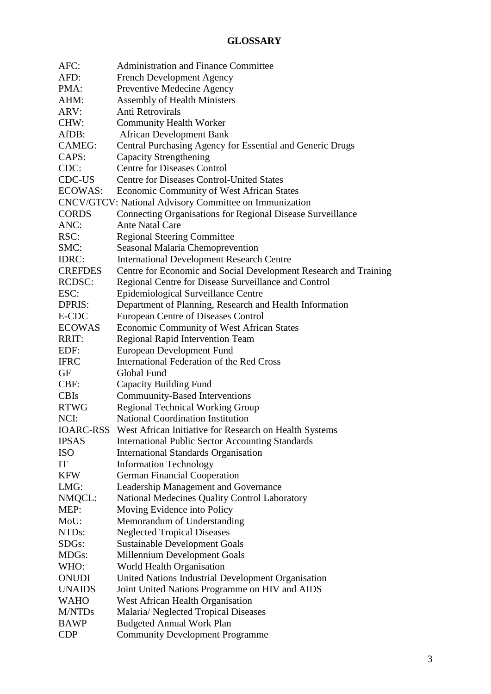# **GLOSSARY**

<span id="page-2-0"></span>

| AFC:               | <b>Administration and Finance Committee</b>                             |
|--------------------|-------------------------------------------------------------------------|
| AFD:               | <b>French Development Agency</b>                                        |
| PMA:               | Preventive Medecine Agency                                              |
| AHM:               | <b>Assembly of Health Ministers</b>                                     |
| ARV:               | Anti Retrovirals                                                        |
| CHW:               | <b>Community Health Worker</b>                                          |
| AfDB:              | <b>African Development Bank</b>                                         |
| <b>CAMEG:</b>      | Central Purchasing Agency for Essential and Generic Drugs               |
| CAPS:              | <b>Capacity Strengthening</b>                                           |
| CDC:               | <b>Centre for Diseases Control</b>                                      |
| CDC-US             | <b>Centre for Diseases Control-United States</b>                        |
| <b>ECOWAS:</b>     | <b>Economic Community of West African States</b>                        |
|                    | CNCV/GTCV: National Advisory Committee on Immunization                  |
| <b>CORDS</b>       | Connecting Organisations for Regional Disease Surveillance              |
| ANC:               | <b>Ante Natal Care</b>                                                  |
| RSC:               | <b>Regional Steering Committee</b>                                      |
| SMC:               | Seasonal Malaria Chemoprevention                                        |
|                    |                                                                         |
| IDRC:              | <b>International Development Research Centre</b>                        |
| <b>CREFDES</b>     | Centre for Economic and Social Development Research and Training        |
| <b>RCDSC:</b>      | Regional Centre for Disease Surveillance and Control                    |
| ESC:               | Epidemiological Surveillance Centre                                     |
| <b>DPRIS:</b>      | Department of Planning, Research and Health Information                 |
| E-CDC              | <b>European Centre of Diseases Control</b>                              |
| <b>ECOWAS</b>      | <b>Economic Community of West African States</b>                        |
| RRIT:              | Regional Rapid Intervention Team                                        |
| EDF:               | <b>European Development Fund</b>                                        |
| <b>IFRC</b>        | <b>International Federation of the Red Cross</b>                        |
| GF                 | Global Fund                                                             |
| CBF:               | <b>Capacity Building Fund</b>                                           |
| <b>CBIs</b>        | Commuunity-Based Interventions                                          |
| <b>RTWG</b>        | <b>Regional Technical Working Group</b>                                 |
| NCI:               | National Coordination Institution                                       |
|                    | <b>IOARC-RSS</b> West African Initiative for Research on Health Systems |
| <b>IPSAS</b>       | <b>International Public Sector Accounting Standards</b>                 |
| <b>ISO</b>         | <b>International Standards Organisation</b>                             |
| IT                 | <b>Information Technology</b>                                           |
| <b>KFW</b>         | <b>German Financial Cooperation</b>                                     |
| LMG:               | Leadership Management and Governance                                    |
| NMQCL:             | National Medecines Quality Control Laboratory                           |
| MEP:               | Moving Evidence into Policy                                             |
| MoU:               | Memorandum of Understanding                                             |
| NTD <sub>s</sub> : | <b>Neglected Tropical Diseases</b>                                      |
| SDG <sub>s</sub> : | <b>Sustainable Development Goals</b>                                    |
| MDGs:              | Millennium Development Goals                                            |
| WHO:               | World Health Organisation                                               |
| <b>ONUDI</b>       | United Nations Industrial Development Organisation                      |
| <b>UNAIDS</b>      | Joint United Nations Programme on HIV and AIDS                          |
| <b>WAHO</b>        | West African Health Organisation                                        |
| M/NTDs             | Malaria/ Neglected Tropical Diseases                                    |
| <b>BAWP</b>        | <b>Budgeted Annual Work Plan</b>                                        |
| <b>CDP</b>         | <b>Community Development Programme</b>                                  |
|                    |                                                                         |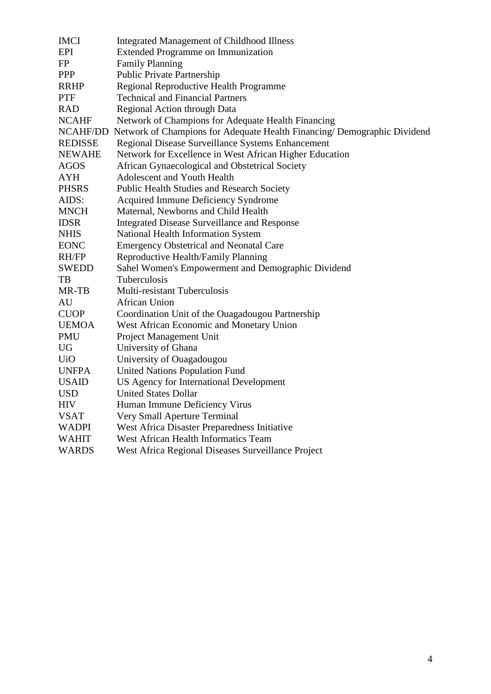| <b>IMCI</b>    | <b>Integrated Management of Childhood Illness</b>                                 |
|----------------|-----------------------------------------------------------------------------------|
| <b>EPI</b>     | Extended Programme on Immunization                                                |
| FP             | <b>Family Planning</b>                                                            |
| <b>PPP</b>     | <b>Public Private Partnership</b>                                                 |
| <b>RRHP</b>    | Regional Reproductive Health Programme                                            |
| <b>PTF</b>     | <b>Technical and Financial Partners</b>                                           |
| <b>RAD</b>     | Regional Action through Data                                                      |
| <b>NCAHF</b>   | Network of Champions for Adequate Health Financing                                |
|                | NCAHF/DD Network of Champions for Adequate Health Financing/ Demographic Dividend |
| <b>REDISSE</b> | Regional Disease Surveillance Systems Enhancement                                 |
| <b>NEWAHE</b>  | Network for Excellence in West African Higher Education                           |
| <b>AGOS</b>    | African Gynaecological and Obstetrical Society                                    |
| <b>AYH</b>     | Adolescent and Youth Health                                                       |
| <b>PHSRS</b>   | <b>Public Health Studies and Research Society</b>                                 |
| AIDS:          | Acquired Immune Deficiency Syndrome                                               |
| MNCH           | Maternal, Newborns and Child Health                                               |
| <b>IDSR</b>    | Integrated Disease Surveillance and Response                                      |
| <b>NHIS</b>    | National Health Information System                                                |
| <b>EONC</b>    | <b>Emergency Obstetrical and Neonatal Care</b>                                    |
| RH/FP          | Reproductive Health/Family Planning                                               |
| <b>SWEDD</b>   | Sahel Women's Empowerment and Demographic Dividend                                |
| TB             | Tuberculosis                                                                      |
| MR-TB          | Multi-resistant Tuberculosis                                                      |
| AU             | <b>African Union</b>                                                              |
| <b>CUOP</b>    | Coordination Unit of the Ouagadougou Partnership                                  |
| <b>UEMOA</b>   | West African Economic and Monetary Union                                          |
| PMU            | Project Management Unit                                                           |
| <b>UG</b>      | University of Ghana                                                               |
| <b>UiO</b>     | University of Ouagadougou                                                         |
| <b>UNFPA</b>   | <b>United Nations Population Fund</b>                                             |
| <b>USAID</b>   | US Agency for International Development                                           |
| <b>USD</b>     | <b>United States Dollar</b>                                                       |
| <b>HIV</b>     | Human Immune Deficiency Virus                                                     |
| <b>VSAT</b>    | Very Small Aperture Terminal                                                      |
| <b>WADPI</b>   | West Africa Disaster Preparedness Initiative                                      |
| <b>WAHIT</b>   | <b>West African Health Informatics Team</b>                                       |
| <b>WARDS</b>   | West Africa Regional Diseases Surveillance Project                                |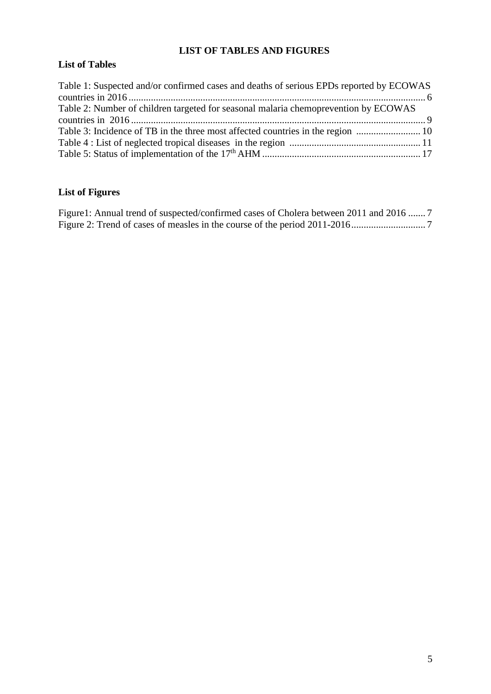# **LIST OF TABLES AND FIGURES**

# <span id="page-4-0"></span>**List of Tables**

| Table 1: Suspected and/or confirmed cases and deaths of serious EPDs reported by ECOWAS |  |
|-----------------------------------------------------------------------------------------|--|
|                                                                                         |  |
| Table 2: Number of children targeted for seasonal malaria chemoprevention by ECOWAS     |  |
|                                                                                         |  |
|                                                                                         |  |
|                                                                                         |  |
|                                                                                         |  |

# **List of Figures**

| Figure1: Annual trend of suspected/confirmed cases of Cholera between 2011 and 2016  7 |  |
|----------------------------------------------------------------------------------------|--|
|                                                                                        |  |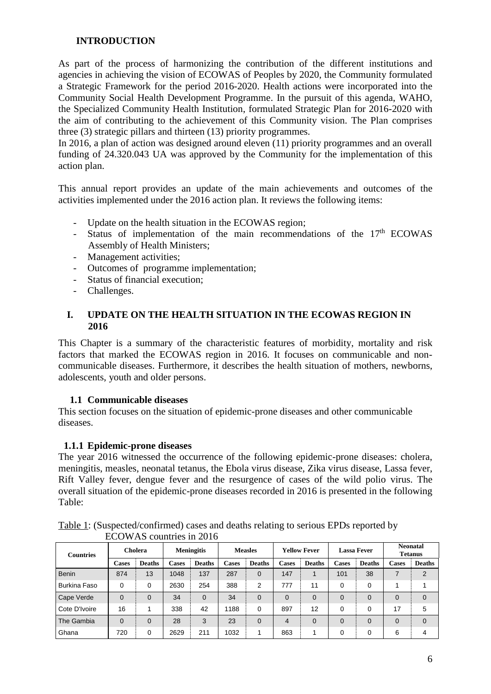## <span id="page-5-0"></span>**INTRODUCTION**

As part of the process of harmonizing the contribution of the different institutions and agencies in achieving the vision of ECOWAS of Peoples by 2020, the Community formulated a Strategic Framework for the period 2016-2020. Health actions were incorporated into the Community Social Health Development Programme. In the pursuit of this agenda, WAHO, the Specialized Community Health Institution, formulated Strategic Plan for 2016-2020 with the aim of contributing to the achievement of this Community vision. The Plan comprises three (3) strategic pillars and thirteen (13) priority programmes.

In 2016, a plan of action was designed around eleven (11) priority programmes and an overall funding of 24.320.043 UA was approved by the Community for the implementation of this action plan.

This annual report provides an update of the main achievements and outcomes of the activities implemented under the 2016 action plan. It reviews the following items:

- Update on the health situation in the ECOWAS region;
- Status of implementation of the main recommendations of the  $17<sup>th</sup>$  ECOWAS Assembly of Health Ministers;
- Management activities;
- Outcomes of programme implementation;
- Status of financial execution:
- Challenges.

#### <span id="page-5-1"></span>**I. UPDATE ON THE HEALTH SITUATION IN THE ECOWAS REGION IN 2016**

This Chapter is a summary of the characteristic features of morbidity, mortality and risk factors that marked the ECOWAS region in 2016. It focuses on communicable and noncommunicable diseases. Furthermore, it describes the health situation of mothers, newborns, adolescents, youth and older persons.

#### **1.1 Communicable diseases**

<span id="page-5-2"></span>This section focuses on the situation of epidemic-prone diseases and other communicable diseases.

#### <span id="page-5-3"></span>**1.1.1 Epidemic-prone diseases**

The year 2016 witnessed the occurrence of the following epidemic-prone diseases: cholera, meningitis, measles, neonatal tetanus, the Ebola virus disease, Zika virus disease, Lassa fever, Rift Valley fever, dengue fever and the resurgence of cases of the wild polio virus. The overall situation of the epidemic-prone diseases recorded in 2016 is presented in the following Table:

|                  | $1000$ $1110$ counting in 2010 |                              |       |               |                                       |               |                    |               |                                   |               |              |               |
|------------------|--------------------------------|------------------------------|-------|---------------|---------------------------------------|---------------|--------------------|---------------|-----------------------------------|---------------|--------------|---------------|
| <b>Countries</b> |                                | <b>Meningitis</b><br>Cholera |       |               | <b>Measles</b><br><b>Yellow Fever</b> |               | <b>Lassa Fever</b> |               | <b>Neonatal</b><br><b>Tetanus</b> |               |              |               |
|                  | <b>Cases</b>                   | <b>Deaths</b>                | Cases | <b>Deaths</b> | <b>Cases</b>                          | <b>Deaths</b> | <b>Cases</b>       | <b>Deaths</b> | <b>Cases</b>                      | <b>Deaths</b> | <b>Cases</b> | <b>Deaths</b> |
| <b>Benin</b>     | 874                            | 13                           | 1048  | 137           | 287                                   | $\Omega$      | 147                | 1             | 101                               | 38            | 7            | 2             |
| Burkina Faso     | 0                              | 0                            | 2630  | 254           | 388                                   | 2             | 777                | 11            | 0                                 | $\mathbf 0$   |              |               |
| Cape Verde       | $\Omega$                       | 0                            | 34    | 0             | 34                                    | $\Omega$      | $\overline{0}$     | $\mathbf{0}$  | $\Omega$                          | $\Omega$      | $\Omega$     | 0             |
| Cote D'Ivoire    | 16                             |                              | 338   | 42            | 1188                                  | $\Omega$      | 897                | 12            | $\Omega$                          | $\Omega$      | 17           | 5             |
| The Gambia       | $\Omega$                       | 0                            | 28    | 3             | 23                                    | $\Omega$      | $\overline{4}$     | $\Omega$      | $\Omega$                          | $\Omega$      | $\Omega$     | 0             |
| Ghana            | 720                            | 0                            | 2629  | 211           | 1032                                  |               | 863                |               | 0                                 | 0             | 6            |               |

<span id="page-5-4"></span>Table 1: (Suspected/confirmed) cases and deaths relating to serious EPDs reported by ECOWAS countries in 2016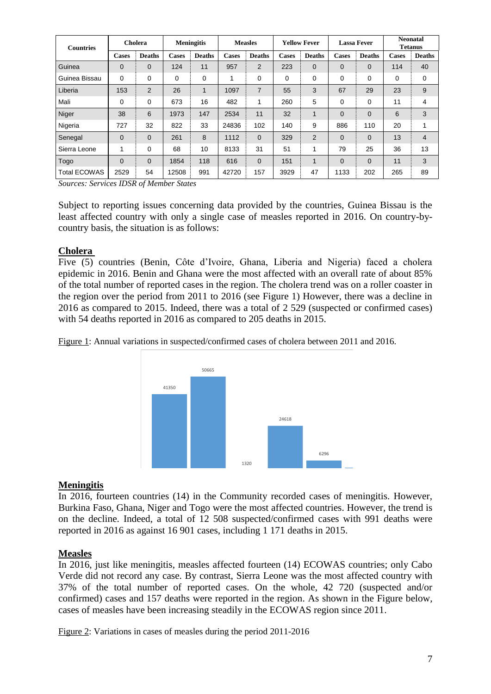| <b>Countries</b>    |              | Cholera       |              | <b>Meningitis</b> |              | <b>Measles</b> |              | <b>Yellow Fever</b> |              | <b>Lassa Fever</b> |              | <b>Neonatal</b><br><b>Tetanus</b> |
|---------------------|--------------|---------------|--------------|-------------------|--------------|----------------|--------------|---------------------|--------------|--------------------|--------------|-----------------------------------|
|                     | <b>Cases</b> | <b>Deaths</b> | <b>Cases</b> | <b>Deaths</b>     | <b>Cases</b> | <b>Deaths</b>  | <b>Cases</b> | <b>Deaths</b>       | <b>Cases</b> | <b>Deaths</b>      | <b>Cases</b> | <b>Deaths</b>                     |
| Guinea              | $\mathbf 0$  | $\mathbf{0}$  | 124          | 11                | 957          | 2              | 223          | $\overline{0}$      | $\mathbf 0$  | $\mathbf{0}$       | 114          | 40                                |
| Guinea Bissau       | $\Omega$     | 0             | 0            | 0                 | 1            | $\mathbf 0$    | 0            | 0                   | 0            | 0                  | 0            | 0                                 |
| Liberia             | 153          | 2             | 26           | 1                 | 1097         | $\overline{7}$ | 55           | 3                   | 67           | 29                 | 23           | 9                                 |
| Mali                | 0            | 0             | 673          | 16                | 482          | 1              | 260          | 5                   | 0            | 0                  | 11           | 4                                 |
| Niger               | 38           | 6             | 1973         | 147               | 2534         | 11             | 32           | 1                   | $\Omega$     | $\overline{0}$     | 6            | 3                                 |
| Nigeria             | 727          | 32            | 822          | 33                | 24836        | 102            | 140          | 9                   | 886          | 110                | 20           | 1                                 |
| Senegal             | $\Omega$     | $\mathbf 0$   | 261          | 8                 | 1112         | $\Omega$       | 329          | 2                   | $\Omega$     | $\mathbf{0}$       | 13           | $\overline{4}$                    |
| Sierra Leone        | 1            | 0             | 68           | 10                | 8133         | 31             | 51           | 1                   | 79           | 25                 | 36           | 13                                |
| Togo                | $\Omega$     | $\mathbf{0}$  | 1854         | 118               | 616          | $\overline{0}$ | 151          | 1                   | $\mathbf 0$  | $\mathbf{0}$       | 11           | 3                                 |
| <b>Total ECOWAS</b> | 2529         | 54            | 12508        | 991               | 42720        | 157            | 3929         | 47                  | 1133         | 202                | 265          | 89                                |

*Sources: Services IDSR of Member States*

Subject to reporting issues concerning data provided by the countries, Guinea Bissau is the least affected country with only a single case of measles reported in 2016. On country-bycountry basis, the situation is as follows:

#### **Cholera**

Five (5) countries (Benin, Côte d'Ivoire, Ghana, Liberia and Nigeria) faced a cholera epidemic in 2016. Benin and Ghana were the most affected with an overall rate of about 85% of the total number of reported cases in the region. The cholera trend was on a roller coaster in the region over the period from 2011 to 2016 (see Figure 1) However, there was a decline in 2016 as compared to 2015. Indeed, there was a total of 2 529 (suspected or confirmed cases) with 54 deaths reported in 2016 as compared to 205 deaths in 2015.

<span id="page-6-0"></span>Figure 1: Annual variations in suspected/confirmed cases of cholera between 2011 and 2016.



#### **Meningitis**

In 2016, fourteen countries (14) in the Community recorded cases of meningitis. However, Burkina Faso, Ghana, Niger and Togo were the most affected countries. However, the trend is on the decline. Indeed, a total of 12 508 suspected/confirmed cases with 991 deaths were reported in 2016 as against 16 901 cases, including 1 171 deaths in 2015.

#### **Measles**

In 2016, just like meningitis, measles affected fourteen (14) ECOWAS countries; only Cabo Verde did not record any case. By contrast, Sierra Leone was the most affected country with 37% of the total number of reported cases. On the whole, 42 720 (suspected and/or confirmed) cases and 157 deaths were reported in the region. As shown in the Figure below, cases of measles have been increasing steadily in the ECOWAS region since 2011.

<span id="page-6-1"></span>Figure 2: Variations in cases of measles during the period 2011-2016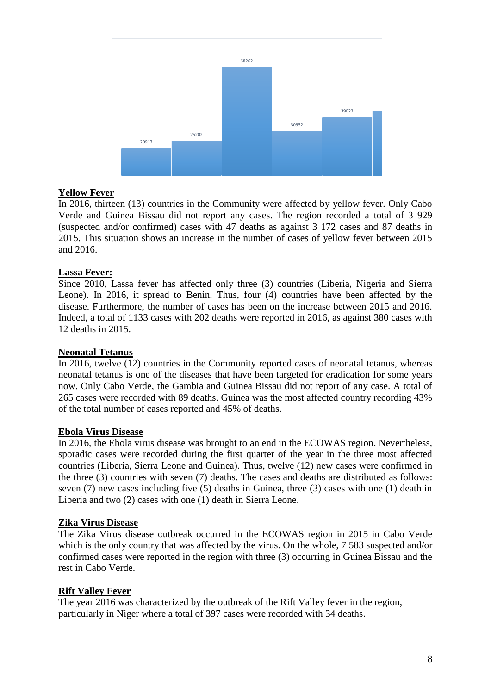

## **Yellow Fever**

In 2016, thirteen (13) countries in the Community were affected by yellow fever. Only Cabo Verde and Guinea Bissau did not report any cases. The region recorded a total of 3 929 (suspected and/or confirmed) cases with 47 deaths as against 3 172 cases and 87 deaths in 2015. This situation shows an increase in the number of cases of yellow fever between 2015 and 2016.

## **Lassa Fever:**

Since 2010, Lassa fever has affected only three (3) countries (Liberia, Nigeria and Sierra Leone). In 2016, it spread to Benin. Thus, four (4) countries have been affected by the disease. Furthermore, the number of cases has been on the increase between 2015 and 2016. Indeed, a total of 1133 cases with 202 deaths were reported in 2016, as against 380 cases with 12 deaths in 2015.

#### **Neonatal Tetanus**

In 2016, twelve (12) countries in the Community reported cases of neonatal tetanus, whereas neonatal tetanus is one of the diseases that have been targeted for eradication for some years now. Only Cabo Verde, the Gambia and Guinea Bissau did not report of any case. A total of 265 cases were recorded with 89 deaths. Guinea was the most affected country recording 43% of the total number of cases reported and 45% of deaths.

## **Ebola Virus Disease**

In 2016, the Ebola virus disease was brought to an end in the ECOWAS region. Nevertheless, sporadic cases were recorded during the first quarter of the year in the three most affected countries (Liberia, Sierra Leone and Guinea). Thus, twelve (12) new cases were confirmed in the three (3) countries with seven (7) deaths. The cases and deaths are distributed as follows: seven (7) new cases including five (5) deaths in Guinea, three (3) cases with one (1) death in Liberia and two (2) cases with one (1) death in Sierra Leone.

#### **Zika Virus Disease**

The Zika Virus disease outbreak occurred in the ECOWAS region in 2015 in Cabo Verde which is the only country that was affected by the virus. On the whole, 7 583 suspected and/or confirmed cases were reported in the region with three (3) occurring in Guinea Bissau and the rest in Cabo Verde.

## **Rift Valley Fever**

The year 2016 was characterized by the outbreak of the Rift Valley fever in the region, particularly in Niger where a total of 397 cases were recorded with 34 deaths.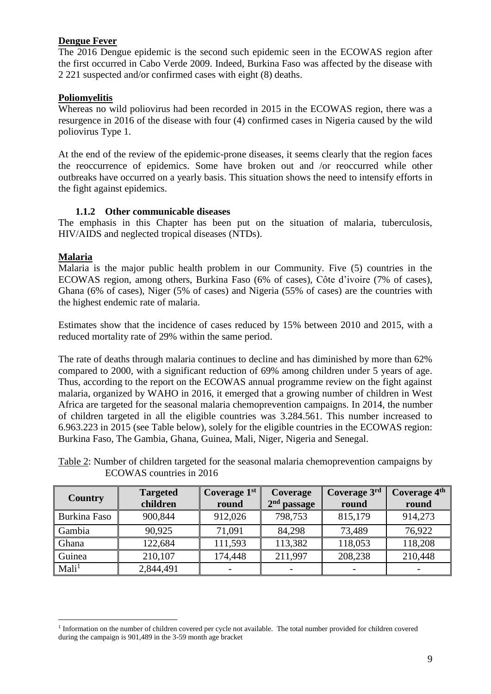## **Dengue Fever**

The 2016 Dengue epidemic is the second such epidemic seen in the ECOWAS region after the first occurred in Cabo Verde 2009. Indeed, Burkina Faso was affected by the disease with 2 221 suspected and/or confirmed cases with eight (8) deaths.

#### **Poliomyelitis**

Whereas no wild poliovirus had been recorded in 2015 in the ECOWAS region, there was a resurgence in 2016 of the disease with four (4) confirmed cases in Nigeria caused by the wild poliovirus Type 1.

At the end of the review of the epidemic-prone diseases, it seems clearly that the region faces the reoccurrence of epidemics. Some have broken out and /or reoccurred while other outbreaks have occurred on a yearly basis. This situation shows the need to intensify efforts in the fight against epidemics.

#### **1.1.2 Other communicable diseases**

<span id="page-8-0"></span>The emphasis in this Chapter has been put on the situation of malaria, tuberculosis, HIV/AIDS and neglected tropical diseases (NTDs).

#### **Malaria**

<u>.</u>

Malaria is the major public health problem in our Community. Five (5) countries in the ECOWAS region, among others, Burkina Faso (6% of cases), Côte d'ivoire (7% of cases), Ghana (6% of cases), Niger (5% of cases) and Nigeria (55% of cases) are the countries with the highest endemic rate of malaria.

Estimates show that the incidence of cases reduced by 15% between 2010 and 2015, with a reduced mortality rate of 29% within the same period.

The rate of deaths through malaria continues to decline and has diminished by more than 62% compared to 2000, with a significant reduction of 69% among children under 5 years of age. Thus, according to the report on the ECOWAS annual programme review on the fight against malaria, organized by WAHO in 2016, it emerged that a growing number of children in West Africa are targeted for the seasonal malaria chemoprevention campaigns. In 2014, the number of children targeted in all the eligible countries was 3.284.561. This number increased to 6.963.223 in 2015 (see Table below), solely for the eligible countries in the ECOWAS region: Burkina Faso, The Gambia, Ghana, Guinea, Mali, Niger, Nigeria and Senegal.

<span id="page-8-1"></span>Table 2: Number of children targeted for the seasonal malaria chemoprevention campaigns by ECOWAS countries in 2016

| <b>Country</b>    | <b>Targeted</b><br>children | Coverage 1st<br>round | Coverage<br>$2nd$ passage | Coverage 3rd<br>round | Coverage 4th<br>round |
|-------------------|-----------------------------|-----------------------|---------------------------|-----------------------|-----------------------|
| Burkina Faso      | 900,844                     | 912,026               | 798,753                   | 815,179               | 914,273               |
| Gambia            | 90,925                      | 71,091                | 84,298                    | 73,489                | 76,922                |
| Ghana             | 122,684                     | 111,593               | 113,382                   | 118,053               | 118,208               |
| Guinea            | 210,107                     | 174,448               | 211,997                   | 208,238               | 210,448               |
| Mali <sup>1</sup> | 2,844,491                   |                       |                           |                       |                       |

<sup>&</sup>lt;sup>1</sup> Information on the number of children covered per cycle not available. The total number provided for children covered during the campaign is 901,489 in the 3-59 month age bracket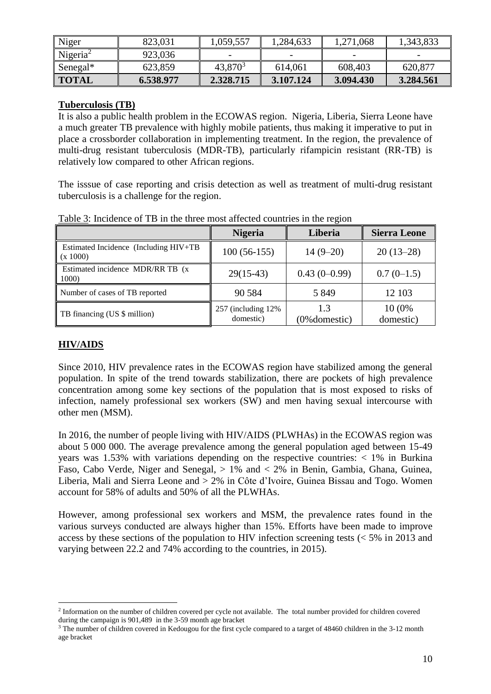| Niger                         | 823,031   | 1,059,557  | 1,284,633 | 1,271,068 | 1,343,833 |
|-------------------------------|-----------|------------|-----------|-----------|-----------|
| Nigeria <sup>2</sup>          | 923,036   |            |           |           |           |
| $\sqrt{\frac{1}{2}}$ Senegal* | 623,859   | $43,870^3$ | 614,061   | 608,403   | 620,877   |
| <b>TOTAL</b>                  | 6.538.977 | 2.328.715  | 3.107.124 | 3.094.430 | 3.284.561 |

#### **Tuberculosis (TB)**

It is also a public health problem in the ECOWAS region. Nigeria, Liberia, Sierra Leone have a much greater TB prevalence with highly mobile patients, thus making it imperative to put in place a crossborder collaboration in implementing treatment. In the region, the prevalence of multi-drug resistant tuberculosis (MDR-TB), particularly rifampicin resistant (RR-TB) is relatively low compared to other African regions.

The isssue of case reporting and crisis detection as well as treatment of multi-drug resistant tuberculosis is a challenge for the region.

|                                                    | <b>Nigeria</b>                   | Liberia              | <b>Sierra Leone</b>  |  |  |
|----------------------------------------------------|----------------------------------|----------------------|----------------------|--|--|
| Estimated Incidence (Including HIV+TB)<br>(x 1000) | $100(56-155)$                    | $14(9-20)$           | $20(13-28)$          |  |  |
| Estimated incidence MDR/RR TB (x)<br>1000)         | $29(15-43)$                      | $0.43(0-0.99)$       | $0.7(0-1.5)$         |  |  |
| Number of cases of TB reported                     | 90 5 84                          | 5 8 4 9              | 12 103               |  |  |
| TB financing (US \$ million)                       | 257 (including 12%)<br>domestic) | 1.3<br>(0% domestic) | 10 (0%)<br>domestic) |  |  |

<span id="page-9-0"></span>Table 3: Incidence of TB in the three most affected countries in the region

# **HIV/AIDS**

1

Since 2010, HIV prevalence rates in the ECOWAS region have stabilized among the general population. In spite of the trend towards stabilization, there are pockets of high prevalence concentration among some key sections of the population that is most exposed to risks of infection, namely professional sex workers (SW) and men having sexual intercourse with other men (MSM).

In 2016, the number of people living with HIV/AIDS (PLWHAs) in the ECOWAS region was about 5 000 000. The average prevalence among the general population aged between 15-49 years was 1.53% with variations depending on the respective countries: < 1% in Burkina Faso, Cabo Verde, Niger and Senegal, > 1% and < 2% in Benin, Gambia, Ghana, Guinea, Liberia, Mali and Sierra Leone and > 2% in Côte d'Ivoire, Guinea Bissau and Togo. Women account for 58% of adults and 50% of all the PLWHAs.

However, among professional sex workers and MSM, the prevalence rates found in the various surveys conducted are always higher than 15%. Efforts have been made to improve access by these sections of the population to HIV infection screening tests (< 5% in 2013 and varying between 22.2 and 74% according to the countries, in 2015).

<sup>&</sup>lt;sup>2</sup> Information on the number of children covered per cycle not available. The total number provided for children covered during the campaign is 901,489 in the 3-59 month age bracket

<sup>3</sup> The number of children covered in Kedougou for the first cycle compared to a target of 48460 children in the 3-12 month age bracket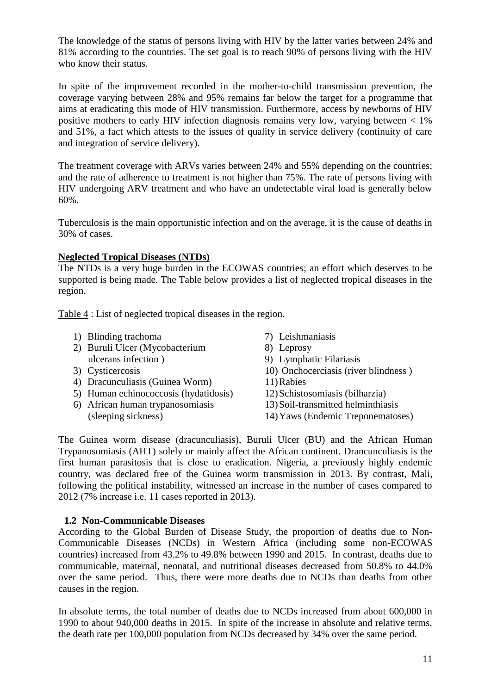The knowledge of the status of persons living with HIV by the latter varies between 24% and 81% according to the countries. The set goal is to reach 90% of persons living with the HIV who know their status.

In spite of the improvement recorded in the mother-to-child transmission prevention, the coverage varying between 28% and 95% remains far below the target for a programme that aims at eradicating this mode of HIV transmission. Furthermore, access by newborns of HIV positive mothers to early HIV infection diagnosis remains very low, varying between < 1% and 51%, a fact which attests to the issues of quality in service delivery (continuity of care and integration of service delivery).

The treatment coverage with ARVs varies between 24% and 55% depending on the countries; and the rate of adherence to treatment is not higher than 75%. The rate of persons living with HIV undergoing ARV treatment and who have an undetectable viral load is generally below 60%.

Tuberculosis is the main opportunistic infection and on the average, it is the cause of deaths in 30% of cases.

## **Neglected Tropical Diseases (NTDs)**

The NTDs is a very huge burden in the ECOWAS countries; an effort which deserves to be supported is being made. The Table below provides a list of neglected tropical diseases in the region.

<span id="page-10-1"></span>Table 4 : List of neglected tropical diseases in the region.

| 1) Blinding trachoma                  | 7) Leishmaniasis                     |
|---------------------------------------|--------------------------------------|
| 2) Buruli Ulcer (Mycobacterium        | 8) Leprosy                           |
| ulcerans infection)                   | 9) Lymphatic Filariasis              |
| 3) Cysticercosis                      | 10) Onchocerciasis (river blindness) |
| 4) Dracunculiasis (Guinea Worm)       | 11) Rabies                           |
| 5) Human echinococcosis (hydatidosis) | 12) Schistosomiasis (bilharzia)      |
| 6) African human trypanosomiasis      | 13) Soil-transmitted helminthiasis   |
| (sleeping sickness)                   | 14) Yaws (Endemic Treponematoses)    |
|                                       |                                      |

The Guinea worm disease (dracunculiasis), Buruli Ulcer (BU) and the African Human Trypanosomiasis (AHT) solely or mainly affect the African continent. Drancunculiasis is the first human parasitosis that is close to eradication. Nigeria, a previously highly endemic country, was declared free of the Guinea worm transmission in 2013. By contrast, Mali, following the political instability, witnessed an increase in the number of cases compared to 2012 (7% increase i.e. 11 cases reported in 2013).

## <span id="page-10-0"></span>**1.2 Non-Communicable Diseases**

According to the Global Burden of Disease Study, the proportion of deaths due to Non-Communicable Diseases (NCDs) in Western Africa (including some non-ECOWAS countries) increased from 43.2% to 49.8% between 1990 and 2015. In contrast, deaths due to communicable, maternal, neonatal, and nutritional diseases decreased from 50.8% to 44.0% over the same period. Thus, there were more deaths due to NCDs than deaths from other causes in the region.

In absolute terms, the total number of deaths due to NCDs increased from about 600,000 in 1990 to about 940,000 deaths in 2015. In spite of the increase in absolute and relative terms, the death rate per 100,000 population from NCDs decreased by 34% over the same period.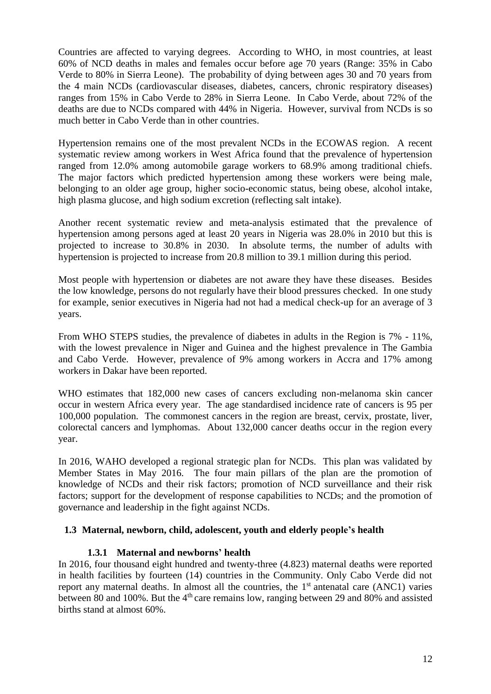Countries are affected to varying degrees. According to WHO, in most countries, at least 60% of NCD deaths in males and females occur before age 70 years (Range: 35% in Cabo Verde to 80% in Sierra Leone). The probability of dying between ages 30 and 70 years from the 4 main NCDs (cardiovascular diseases, diabetes, cancers, chronic respiratory diseases) ranges from 15% in Cabo Verde to 28% in Sierra Leone. In Cabo Verde, about 72% of the deaths are due to NCDs compared with 44% in Nigeria. However, survival from NCDs is so much better in Cabo Verde than in other countries.

Hypertension remains one of the most prevalent NCDs in the ECOWAS region. A recent systematic review among workers in West Africa found that the prevalence of hypertension ranged from 12.0% among automobile garage workers to 68.9% among traditional chiefs. The major factors which predicted hypertension among these workers were being male, belonging to an older age group, higher socio-economic status, being obese, alcohol intake, high plasma glucose, and high sodium excretion (reflecting salt intake).

Another recent systematic review and meta-analysis estimated that the prevalence of hypertension among persons aged at least 20 years in Nigeria was 28.0% in 2010 but this is projected to increase to 30.8% in 2030. In absolute terms, the number of adults with hypertension is projected to increase from 20.8 million to 39.1 million during this period.

Most people with hypertension or diabetes are not aware they have these diseases. Besides the low knowledge, persons do not regularly have their blood pressures checked. In one study for example, senior executives in Nigeria had not had a medical check-up for an average of 3 years.

From WHO STEPS studies, the prevalence of diabetes in adults in the Region is 7% - 11%, with the lowest prevalence in Niger and Guinea and the highest prevalence in The Gambia and Cabo Verde. However, prevalence of 9% among workers in Accra and 17% among workers in Dakar have been reported.

WHO estimates that 182,000 new cases of cancers excluding non-melanoma skin cancer occur in western Africa every year. The age standardised incidence rate of cancers is 95 per 100,000 population. The commonest cancers in the region are breast, cervix, prostate, liver, colorectal cancers and lymphomas. About 132,000 cancer deaths occur in the region every year.

In 2016, WAHO developed a regional strategic plan for NCDs. This plan was validated by Member States in May 2016. The four main pillars of the plan are the promotion of knowledge of NCDs and their risk factors; promotion of NCD surveillance and their risk factors; support for the development of response capabilities to NCDs; and the promotion of governance and leadership in the fight against NCDs.

## <span id="page-11-0"></span>**1.3 Maternal, newborn, child, adolescent, youth and elderly people's health**

## **1.3.1 Maternal and newborns' health**

<span id="page-11-1"></span>In 2016, four thousand eight hundred and twenty-three (4.823) maternal deaths were reported in health facilities by fourteen (14) countries in the Community. Only Cabo Verde did not report any maternal deaths. In almost all the countries, the  $1<sup>st</sup>$  antenatal care (ANC1) varies between 80 and 100%. But the 4<sup>th</sup> care remains low, ranging between 29 and 80% and assisted births stand at almost 60%.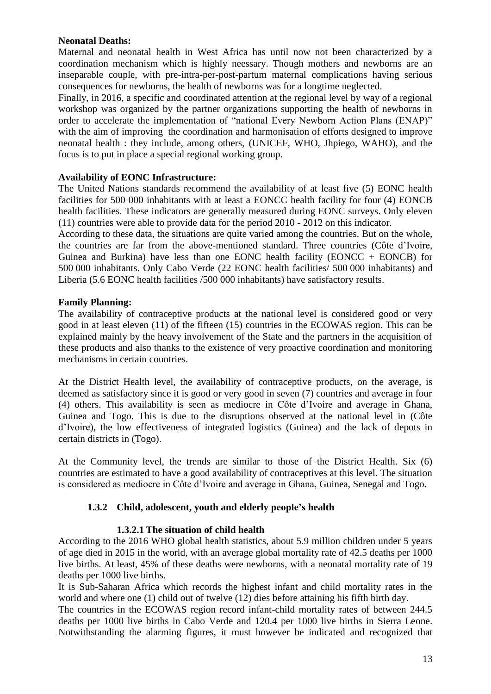#### **Neonatal Deaths:**

Maternal and neonatal health in West Africa has until now not been characterized by a coordination mechanism which is highly neessary. Though mothers and newborns are an inseparable couple, with pre-intra-per-post-partum maternal complications having serious consequences for newborns, the health of newborns was for a longtime neglected.

Finally, in 2016, a specific and coordinated attention at the regional level by way of a regional workshop was organized by the partner organizations supporting the health of newborns in order to accelerate the implementation of "national Every Newborn Action Plans (ENAP)" with the aim of improving the coordination and harmonisation of efforts designed to improve neonatal health : they include, among others, (UNICEF, WHO, Jhpiego, WAHO), and the focus is to put in place a special regional working group.

#### **Availability of EONC Infrastructure:**

The United Nations standards recommend the availability of at least five (5) EONC health facilities for 500 000 inhabitants with at least a EONCC health facility for four (4) EONCB health facilities. These indicators are generally measured during EONC surveys. Only eleven (11) countries were able to provide data for the period 2010 - 2012 on this indicator.

According to these data, the situations are quite varied among the countries. But on the whole, the countries are far from the above-mentioned standard. Three countries (Côte d'Ivoire, Guinea and Burkina) have less than one EONC health facility (EONCC  $+$  EONCB) for 500 000 inhabitants. Only Cabo Verde (22 EONC health facilities/ 500 000 inhabitants) and Liberia (5.6 EONC health facilities /500 000 inhabitants) have satisfactory results.

#### **Family Planning:**

The availability of contraceptive products at the national level is considered good or very good in at least eleven (11) of the fifteen (15) countries in the ECOWAS region. This can be explained mainly by the heavy involvement of the State and the partners in the acquisition of these products and also thanks to the existence of very proactive coordination and monitoring mechanisms in certain countries.

At the District Health level, the availability of contraceptive products, on the average, is deemed as satisfactory since it is good or very good in seven (7) countries and average in four (4) others. This availability is seen as mediocre in Côte d'Ivoire and average in Ghana, Guinea and Togo. This is due to the disruptions observed at the national level in (Côte d'Ivoire), the low effectiveness of integrated logistics (Guinea) and the lack of depots in certain districts in (Togo).

At the Community level, the trends are similar to those of the District Health. Six (6) countries are estimated to have a good availability of contraceptives at this level. The situation is considered as mediocre in Côte d'Ivoire and average in Ghana, Guinea, Senegal and Togo.

## <span id="page-12-0"></span>**1.3.2 Child, adolescent, youth and elderly people's health**

## **1.3.2.1 The situation of child health**

According to the 2016 WHO global health statistics, about 5.9 million children under 5 years of age died in 2015 in the world, with an average global mortality rate of 42.5 deaths per 1000 live births. At least, 45% of these deaths were newborns, with a neonatal mortality rate of 19 deaths per 1000 live births.

It is Sub-Saharan Africa which records the highest infant and child mortality rates in the world and where one (1) child out of twelve (12) dies before attaining his fifth birth day.

The countries in the ECOWAS region record infant-child mortality rates of between 244.5 deaths per 1000 live births in Cabo Verde and 120.4 per 1000 live births in Sierra Leone. Notwithstanding the alarming figures, it must however be indicated and recognized that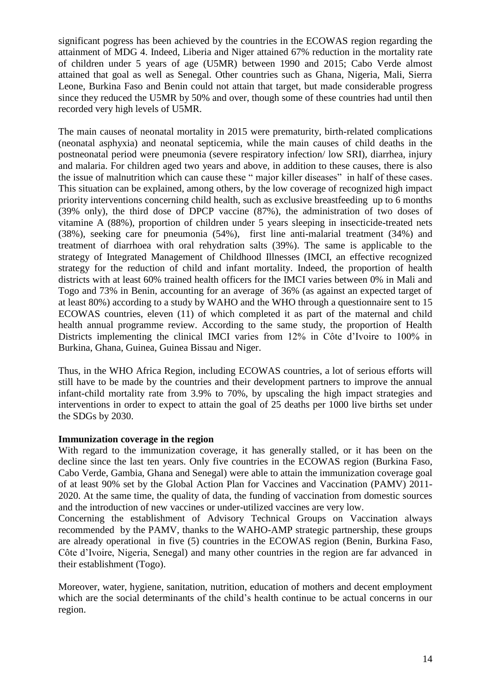significant pogress has been achieved by the countries in the ECOWAS region regarding the attainment of MDG 4. Indeed, Liberia and Niger attained 67% reduction in the mortality rate of children under 5 years of age (U5MR) between 1990 and 2015; Cabo Verde almost attained that goal as well as Senegal. Other countries such as Ghana, Nigeria, Mali, Sierra Leone, Burkina Faso and Benin could not attain that target, but made considerable progress since they reduced the U5MR by 50% and over, though some of these countries had until then recorded very high levels of U5MR.

The main causes of neonatal mortality in 2015 were prematurity, birth-related complications (neonatal asphyxia) and neonatal septicemia, while the main causes of child deaths in the postneonatal period were pneumonia (severe respiratory infection/ low SRI), diarrhea, injury and malaria. For children aged two years and above, in addition to these causes, there is also the issue of malnutrition which can cause these " major killer diseases" in half of these cases. This situation can be explained, among others, by the low coverage of recognized high impact priority interventions concerning child health, such as exclusive breastfeeding up to 6 months (39% only), the third dose of DPCP vaccine (87%), the administration of two doses of vitamine A (88%), proportion of children under 5 years sleeping in insecticide-treated nets (38%), seeking care for pneumonia (54%), first line anti-malarial treatment (34%) and treatment of diarrhoea with oral rehydration salts (39%). The same is applicable to the strategy of Integrated Management of Childhood Illnesses (IMCI, an effective recognized strategy for the reduction of child and infant mortality. Indeed, the proportion of health districts with at least 60% trained health officers for the IMCI varies between 0% in Mali and Togo and 73% in Benin, accounting for an average of 36% (as against an expected target of at least 80%) according to a study by WAHO and the WHO through a questionnaire sent to 15 ECOWAS countries, eleven (11) of which completed it as part of the maternal and child health annual programme review. According to the same study, the proportion of Health Districts implementing the clinical IMCI varies from 12% in Côte d'Ivoire to 100% in Burkina, Ghana, Guinea, Guinea Bissau and Niger.

Thus, in the WHO Africa Region, including ECOWAS countries, a lot of serious efforts will still have to be made by the countries and their development partners to improve the annual infant-child mortality rate from 3.9% to 70%, by upscaling the high impact strategies and interventions in order to expect to attain the goal of 25 deaths per 1000 live births set under the SDGs by 2030.

#### **Immunization coverage in the region**

With regard to the immunization coverage, it has generally stalled, or it has been on the decline since the last ten years. Only five countries in the ECOWAS region (Burkina Faso, Cabo Verde, Gambia, Ghana and Senegal) were able to attain the immunization coverage goal of at least 90% set by the Global Action Plan for Vaccines and Vaccination (PAMV) 2011- 2020. At the same time, the quality of data, the funding of vaccination from domestic sources and the introduction of new vaccines or under-utilized vaccines are very low.

Concerning the establishment of Advisory Technical Groups on Vaccination always recommended by the PAMV, thanks to the WAHO-AMP strategic partnership, these groups are already operational in five (5) countries in the ECOWAS region (Benin, Burkina Faso, Côte d'Ivoire, Nigeria, Senegal) and many other countries in the region are far advanced in their establishment (Togo).

Moreover, water, hygiene, sanitation, nutrition, education of mothers and decent employment which are the social determinants of the child's health continue to be actual concerns in our region.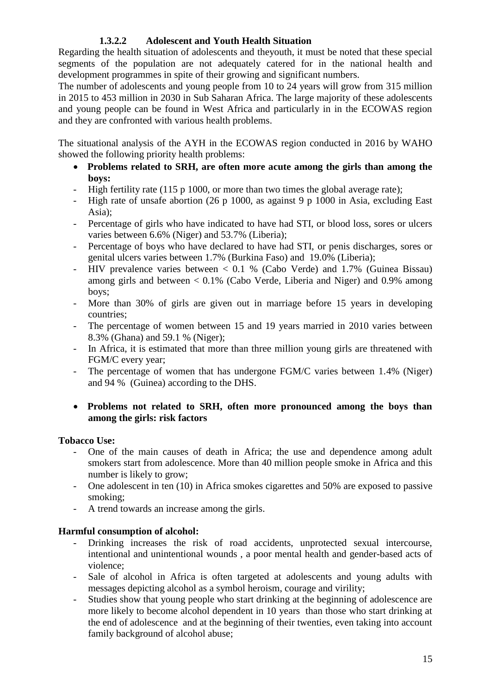# **1.3.2.2 Adolescent and Youth Health Situation**

Regarding the health situation of adolescents and theyouth, it must be noted that these special segments of the population are not adequately catered for in the national health and development programmes in spite of their growing and significant numbers.

The number of adolescents and young people from 10 to 24 years will grow from 315 million in 2015 to 453 million in 2030 in Sub Saharan Africa. The large majority of these adolescents and young people can be found in West Africa and particularly in in the ECOWAS region and they are confronted with various health problems.

The situational analysis of the AYH in the ECOWAS region conducted in 2016 by WAHO showed the following priority health problems:

- **Problems related to SRH, are often more acute among the girls than among the boys:**
- High fertility rate (115 p 1000, or more than two times the global average rate);
- High rate of unsafe abortion (26 p 1000, as against 9 p 1000 in Asia, excluding East Asia);
- Percentage of girls who have indicated to have had STI, or blood loss, sores or ulcers varies between 6.6% (Niger) and 53.7% (Liberia);
- Percentage of boys who have declared to have had STI, or penis discharges, sores or genital ulcers varies between 1.7% (Burkina Faso) and 19.0% (Liberia);
- HIV prevalence varies between < 0.1 % (Cabo Verde) and 1.7% (Guinea Bissau) among girls and between  $< 0.1\%$  (Cabo Verde, Liberia and Niger) and 0.9% among boys;
- More than 30% of girls are given out in marriage before 15 years in developing countries;
- The percentage of women between 15 and 19 years married in 2010 varies between 8.3% (Ghana) and 59.1 % (Niger);
- In Africa, it is estimated that more than three million young girls are threatened with FGM/C every year;
- The percentage of women that has undergone FGM/C varies between 1.4% (Niger) and 94 % (Guinea) according to the DHS.

## **Problems not related to SRH, often more pronounced among the boys than among the girls: risk factors**

## **Tobacco Use:**

- One of the main causes of death in Africa; the use and dependence among adult smokers start from adolescence. More than 40 million people smoke in Africa and this number is likely to grow;
- One adolescent in ten (10) in Africa smokes cigarettes and 50% are exposed to passive smoking;
- A trend towards an increase among the girls.

# **Harmful consumption of alcohol:**

- Drinking increases the risk of road accidents, unprotected sexual intercourse, intentional and unintentional wounds , a poor mental health and gender-based acts of violence;
- Sale of alcohol in Africa is often targeted at adolescents and young adults with messages depicting alcohol as a symbol heroism, courage and virility;
- Studies show that young people who start drinking at the beginning of adolescence are more likely to become alcohol dependent in 10 years than those who start drinking at the end of adolescence and at the beginning of their twenties, even taking into account family background of alcohol abuse;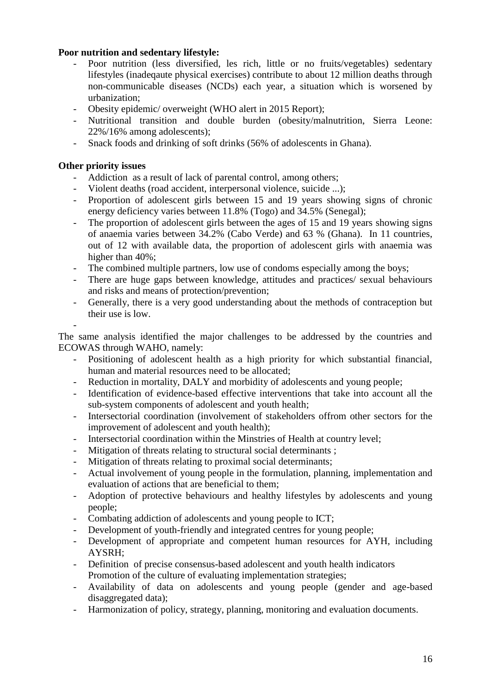## **Poor nutrition and sedentary lifestyle:**

- Poor nutrition (less diversified, les rich, little or no fruits/vegetables) sedentary lifestyles (inadeqaute physical exercises) contribute to about 12 million deaths through non-communicable diseases (NCDs) each year, a situation which is worsened by urbanization;
- Obesity epidemic/ overweight (WHO alert in 2015 Report);
- Nutritional transition and double burden (obesity/malnutrition, Sierra Leone: 22%/16% among adolescents);
- Snack foods and drinking of soft drinks (56% of adolescents in Ghana).

#### **Other priority issues**

-

- Addiction as a result of lack of parental control, among others;
- Violent deaths (road accident, interpersonal violence, suicide ...);
- Proportion of adolescent girls between 15 and 19 years showing signs of chronic energy deficiency varies between 11.8% (Togo) and 34.5% (Senegal);
- The proportion of adolescent girls between the ages of 15 and 19 years showing signs of anaemia varies between 34.2% (Cabo Verde) and 63 % (Ghana). In 11 countries, out of 12 with available data, the proportion of adolescent girls with anaemia was higher than  $40\%$ ;
- The combined multiple partners, low use of condoms especially among the boys;
- There are huge gaps between knowledge, attitudes and practices/ sexual behaviours and risks and means of protection/prevention;
- Generally, there is a very good understanding about the methods of contraception but their use is low.

The same analysis identified the major challenges to be addressed by the countries and ECOWAS through WAHO, namely:

- Positioning of adolescent health as a high priority for which substantial financial, human and material resources need to be allocated;
- Reduction in mortality, DALY and morbidity of adolescents and young people;
- Identification of evidence-based effective interventions that take into account all the sub-system components of adolescent and youth health;
- Intersectorial coordination (involvement of stakeholders offrom other sectors for the improvement of adolescent and youth health);
- Intersectorial coordination within the Minstries of Health at country level;
- Mitigation of threats relating to structural social determinants ;
- Mitigation of threats relating to proximal social determinants;
- Actual involvement of young people in the formulation, planning, implementation and evaluation of actions that are beneficial to them;
- Adoption of protective behaviours and healthy lifestyles by adolescents and young people;
- Combating addiction of adolescents and young people to ICT;
- Development of youth-friendly and integrated centres for young people;
- Development of appropriate and competent human resources for AYH, including AYSRH;
- Definition of precise consensus-based adolescent and youth health indicators Promotion of the culture of evaluating implementation strategies;
- Availability of data on adolescents and young people (gender and age-based disaggregated data);
- Harmonization of policy, strategy, planning, monitoring and evaluation documents.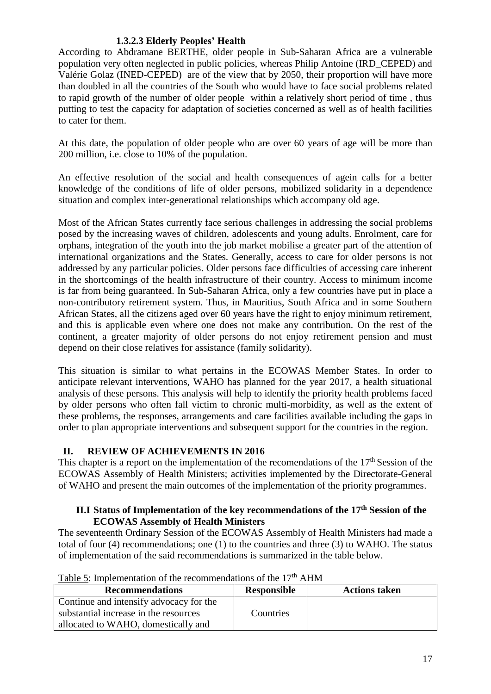## **1.3.2.3 Elderly Peoples' Health**

According to Abdramane BERTHE, older people in Sub-Saharan Africa are a vulnerable population very often neglected in public policies, whereas Philip Antoine (IRD\_CEPED) and Valérie Golaz (INED-CEPED) are of the view that by 2050, their proportion will have more than doubled in all the countries of the South who would have to face social problems related to rapid growth of the number of older people within a relatively short period of time , thus putting to test the capacity for adaptation of societies concerned as well as of health facilities to cater for them.

At this date, the population of older people who are over 60 years of age will be more than 200 million, i.e. close to 10% of the population.

An effective resolution of the social and health consequences of agein calls for a better knowledge of the conditions of life of older persons, mobilized solidarity in a dependence situation and complex inter-generational relationships which accompany old age.

Most of the African States currently face serious challenges in addressing the social problems posed by the increasing waves of children, adolescents and young adults. Enrolment, care for orphans, integration of the youth into the job market mobilise a greater part of the attention of international organizations and the States. Generally, access to care for older persons is not addressed by any particular policies. Older persons face difficulties of accessing care inherent in the shortcomings of the health infrastructure of their country. Access to minimum income is far from being guaranteed. In Sub-Saharan Africa, only a few countries have put in place a non-contributory retirement system. Thus, in Mauritius, South Africa and in some Southern African States, all the citizens aged over 60 years have the right to enjoy minimum retirement, and this is applicable even where one does not make any contribution. On the rest of the continent, a greater majority of older persons do not enjoy retirement pension and must depend on their close relatives for assistance (family solidarity).

This situation is similar to what pertains in the ECOWAS Member States. In order to anticipate relevant interventions, WAHO has planned for the year 2017, a health situational analysis of these persons. This analysis will help to identify the priority health problems faced by older persons who often fall victim to chronic multi-morbidity, as well as the extent of these problems, the responses, arrangements and care facilities available including the gaps in order to plan appropriate interventions and subsequent support for the countries in the region.

## <span id="page-16-0"></span>**II. REVIEW OF ACHIEVEMENTS IN 2016**

This chapter is a report on the implementation of the recomendations of the  $17<sup>th</sup>$  Session of the ECOWAS Assembly of Health Ministers; activities implemented by the Directorate-General of WAHO and present the main outcomes of the implementation of the priority programmes.

#### <span id="page-16-1"></span>II.I Status of Implementation of the key recommendations of the 17<sup>th</sup> Session of the **ECOWAS Assembly of Health Ministers**

<span id="page-16-2"></span>The seventeenth Ordinary Session of the ECOWAS Assembly of Health Ministers had made a total of four (4) recommendations; one (1) to the countries and three (3) to WAHO. The status of implementation of the said recommendations is summarized in the table below.

| <b>Recommendations</b>                  | <b>Responsible</b> | <b>Actions taken</b> |
|-----------------------------------------|--------------------|----------------------|
| Continue and intensify advocacy for the |                    |                      |
| substantial increase in the resources   | Countries          |                      |
| allocated to WAHO, domestically and     |                    |                      |

<span id="page-16-3"></span>Table 5: Implementation of the recommendations of the  $17<sup>th</sup>$  AHM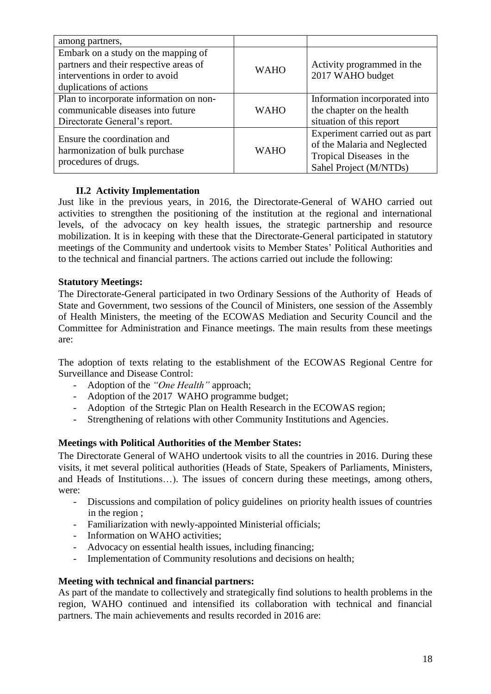| among partners,                                               |             |                                |
|---------------------------------------------------------------|-------------|--------------------------------|
| Embark on a study on the mapping of                           |             |                                |
| partners and their respective areas of                        | <b>WAHO</b> | Activity programmed in the     |
| interventions in order to avoid                               |             | 2017 WAHO budget               |
| duplications of actions                                       |             |                                |
| Plan to incorporate information on non-                       |             | Information incorporated into  |
| communicable diseases into future                             | <b>WAHO</b> | the chapter on the health      |
| Directorate General's report.                                 |             | situation of this report       |
|                                                               | <b>WAHO</b> | Experiment carried out as part |
| Ensure the coordination and<br>harmonization of bulk purchase |             | of the Malaria and Neglected   |
|                                                               |             | Tropical Diseases in the       |
| procedures of drugs.                                          |             | Sahel Project (M/NTDs)         |

# **II.2 Activity Implementation**

<span id="page-17-0"></span>Just like in the previous years, in 2016, the Directorate-General of WAHO carried out activities to strengthen the positioning of the institution at the regional and international levels, of the advocacy on key health issues, the strategic partnership and resource mobilization. It is in keeping with these that the Directorate-General participated in statutory meetings of the Community and undertook visits to Member States' Political Authorities and to the technical and financial partners. The actions carried out include the following:

## **Statutory Meetings:**

The Directorate-General participated in two Ordinary Sessions of the Authority of Heads of State and Government, two sessions of the Council of Ministers, one session of the Assembly of Health Ministers, the meeting of the ECOWAS Mediation and Security Council and the Committee for Administration and Finance meetings. The main results from these meetings are:

The adoption of texts relating to the establishment of the ECOWAS Regional Centre for Surveillance and Disease Control:

- Adoption of the *"One Health"* approach;
- Adoption of the 2017 WAHO programme budget;
- Adoption of the Strtegic Plan on Health Research in the ECOWAS region;
- Strengthening of relations with other Community Institutions and Agencies.

# **Meetings with Political Authorities of the Member States:**

The Directorate General of WAHO undertook visits to all the countries in 2016. During these visits, it met several political authorities (Heads of State, Speakers of Parliaments, Ministers, and Heads of Institutions…). The issues of concern during these meetings, among others, were:

- Discussions and compilation of policy guidelines on priority health issues of countries in the region ;
- Familiarization with newly-appointed Ministerial officials;
- Information on WAHO activities;
- Advocacy on essential health issues, including financing;
- Implementation of Community resolutions and decisions on health;

## **Meeting with technical and financial partners:**

As part of the mandate to collectively and strategically find solutions to health problems in the region, WAHO continued and intensified its collaboration with technical and financial partners. The main achievements and results recorded in 2016 are: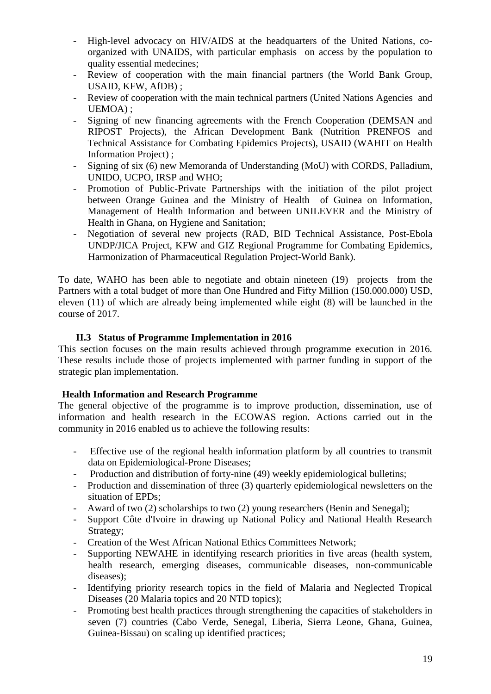- High-level advocacy on HIV/AIDS at the headquarters of the United Nations, coorganized with UNAIDS, with particular emphasis on access by the population to quality essential medecines;
- Review of cooperation with the main financial partners (the World Bank Group, USAID, KFW, AfDB) ;
- Review of cooperation with the main technical partners (United Nations Agencies and UEMOA) ;
- Signing of new financing agreements with the French Cooperation (DEMSAN and RIPOST Projects), the African Development Bank (Nutrition PRENFOS and Technical Assistance for Combating Epidemics Projects), USAID (WAHIT on Health Information Project) ;
- Signing of six (6) new Memoranda of Understanding (MoU) with CORDS, Palladium, UNIDO, UCPO, IRSP and WHO;
- Promotion of Public-Private Partnerships with the initiation of the pilot project between Orange Guinea and the Ministry of Health of Guinea on Information, Management of Health Information and between UNILEVER and the Ministry of Health in Ghana, on Hygiene and Sanitation;
- Negotiation of several new projects (RAD, BID Technical Assistance, Post-Ebola UNDP/JICA Project, KFW and GIZ Regional Programme for Combating Epidemics, Harmonization of Pharmaceutical Regulation Project-World Bank).

To date, WAHO has been able to negotiate and obtain nineteen (19) projects from the Partners with a total budget of more than One Hundred and Fifty Million (150.000.000) USD, eleven (11) of which are already being implemented while eight (8) will be launched in the course of 2017.

# **II.3 Status of Programme Implementation in 2016**

<span id="page-18-0"></span>This section focuses on the main results achieved through programme execution in 2016. These results include those of projects implemented with partner funding in support of the strategic plan implementation.

## <span id="page-18-1"></span>**Health Information and Research Programme**

The general objective of the programme is to improve production, dissemination, use of information and health research in the ECOWAS region. Actions carried out in the community in 2016 enabled us to achieve the following results:

- Effective use of the regional health information platform by all countries to transmit data on Epidemiological-Prone Diseases;
- Production and distribution of forty-nine (49) weekly epidemiological bulletins;
- Production and dissemination of three (3) quarterly epidemiological newsletters on the situation of EPDs;
- Award of two (2) scholarships to two (2) young researchers (Benin and Senegal);
- Support Côte d'Ivoire in drawing up National Policy and National Health Research Strategy;
- Creation of the West African National Ethics Committees Network;
- Supporting NEWAHE in identifying research priorities in five areas (health system, health research, emerging diseases, communicable diseases, non-communicable diseases);
- Identifying priority research topics in the field of Malaria and Neglected Tropical Diseases (20 Malaria topics and 20 NTD topics);
- Promoting best health practices through strengthening the capacities of stakeholders in seven (7) countries (Cabo Verde, Senegal, Liberia, Sierra Leone, Ghana, Guinea, Guinea-Bissau) on scaling up identified practices;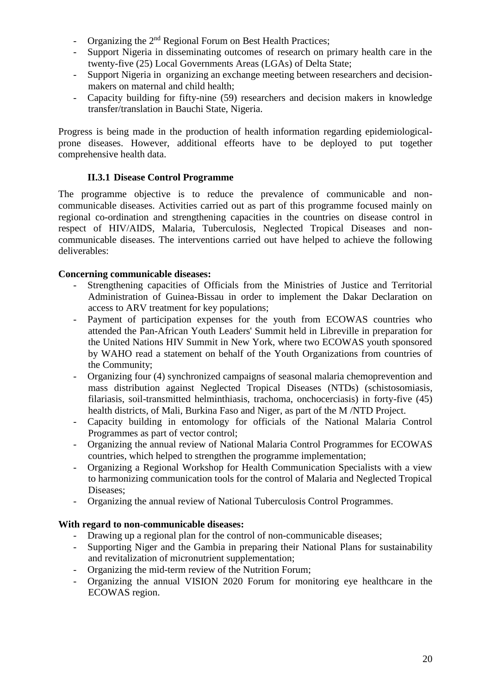- Organizing the 2<sup>nd</sup> Regional Forum on Best Health Practices;
- Support Nigeria in disseminating outcomes of research on primary health care in the twenty-five (25) Local Governments Areas (LGAs) of Delta State;
- Support Nigeria in organizing an exchange meeting between researchers and decisionmakers on maternal and child health;
- Capacity building for fifty-nine (59) researchers and decision makers in knowledge transfer/translation in Bauchi State, Nigeria.

Progress is being made in the production of health information regarding epidemiologicalprone diseases. However, additional effeorts have to be deployed to put together comprehensive health data.

## **II.3.1 Disease Control Programme**

<span id="page-19-0"></span>The programme objective is to reduce the prevalence of communicable and noncommunicable diseases. Activities carried out as part of this programme focused mainly on regional co-ordination and strengthening capacities in the countries on disease control in respect of HIV/AIDS, Malaria, Tuberculosis, Neglected Tropical Diseases and noncommunicable diseases. The interventions carried out have helped to achieve the following deliverables:

## **Concerning communicable diseases:**

- Strengthening capacities of Officials from the Ministries of Justice and Territorial Administration of Guinea-Bissau in order to implement the Dakar Declaration on access to ARV treatment for key populations;
- Payment of participation expenses for the youth from ECOWAS countries who attended the Pan-African Youth Leaders' Summit held in Libreville in preparation for the United Nations HIV Summit in New York, where two ECOWAS youth sponsored by WAHO read a statement on behalf of the Youth Organizations from countries of the Community;
- Organizing four (4) synchronized campaigns of seasonal malaria chemoprevention and mass distribution against Neglected Tropical Diseases (NTDs) (schistosomiasis, filariasis, soil-transmitted helminthiasis, trachoma, onchocerciasis) in forty-five (45) health districts, of Mali, Burkina Faso and Niger, as part of the M /NTD Project.
- Capacity building in entomology for officials of the National Malaria Control Programmes as part of vector control;
- Organizing the annual review of National Malaria Control Programmes for ECOWAS countries, which helped to strengthen the programme implementation;
- Organizing a Regional Workshop for Health Communication Specialists with a view to harmonizing communication tools for the control of Malaria and Neglected Tropical Diseases;
- Organizing the annual review of National Tuberculosis Control Programmes.

## **With regard to non-communicable diseases:**

- Drawing up a regional plan for the control of non-communicable diseases;
- Supporting Niger and the Gambia in preparing their National Plans for sustainability and revitalization of micronutrient supplementation;
- Organizing the mid-term review of the Nutrition Forum;
- Organizing the annual VISION 2020 Forum for monitoring eye healthcare in the ECOWAS region.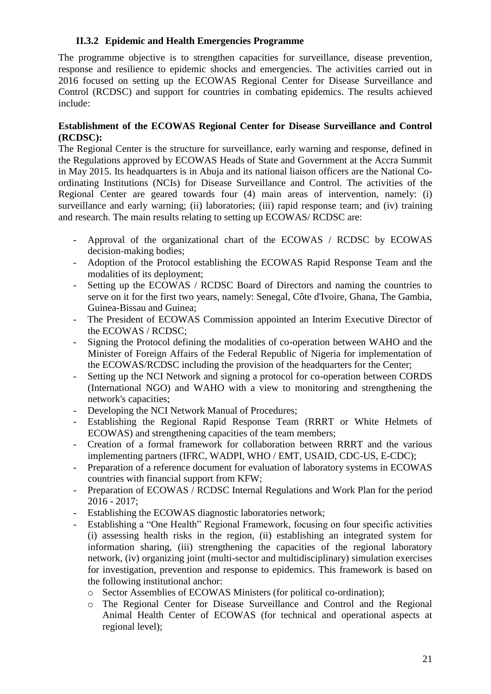#### **II.3.2 Epidemic and Health Emergencies Programme**

<span id="page-20-0"></span>The programme objective is to strengthen capacities for surveillance, disease prevention, response and resilience to epidemic shocks and emergencies. The activities carried out in 2016 focused on setting up the ECOWAS Regional Center for Disease Surveillance and Control (RCDSC) and support for countries in combating epidemics. The results achieved include:

#### **Establishment of the ECOWAS Regional Center for Disease Surveillance and Control (RCDSC):**

The Regional Center is the structure for surveillance, early warning and response, defined in the Regulations approved by ECOWAS Heads of State and Government at the Accra Summit in May 2015. Its headquarters is in Abuja and its national liaison officers are the National Coordinating Institutions (NCIs) for Disease Surveillance and Control. The activities of the Regional Center are geared towards four (4) main areas of intervention, namely: (i) surveillance and early warning; (ii) laboratories; (iii) rapid response team; and (iv) training and research. The main results relating to setting up ECOWAS/ RCDSC are:

- Approval of the organizational chart of the ECOWAS / RCDSC by ECOWAS decision-making bodies;
- Adoption of the Protocol establishing the ECOWAS Rapid Response Team and the modalities of its deployment;
- Setting up the ECOWAS / RCDSC Board of Directors and naming the countries to serve on it for the first two years, namely: Senegal, Côte d'Ivoire, Ghana, The Gambia, Guinea-Bissau and Guinea;
- The President of ECOWAS Commission appointed an Interim Executive Director of the ECOWAS / RCDSC;
- Signing the Protocol defining the modalities of co-operation between WAHO and the Minister of Foreign Affairs of the Federal Republic of Nigeria for implementation of the ECOWAS/RCDSC including the provision of the headquarters for the Center;
- Setting up the NCI Network and signing a protocol for co-operation between CORDS (International NGO) and WAHO with a view to monitoring and strengthening the network's capacities;
- Developing the NCI Network Manual of Procedures;
- Establishing the Regional Rapid Response Team (RRRT or White Helmets of ECOWAS) and strengthening capacities of the team members;
- Creation of a formal framework for collaboration between RRRT and the various implementing partners (IFRC, WADPI, WHO / EMT, USAID, CDC-US, E-CDC);
- Preparation of a reference document for evaluation of laboratory systems in ECOWAS countries with financial support from KFW;
- Preparation of ECOWAS / RCDSC Internal Regulations and Work Plan for the period 2016 - 2017;
- Establishing the ECOWAS diagnostic laboratories network;
- Establishing a "One Health" Regional Framework, focusing on four specific activities (i) assessing health risks in the region, (ii) establishing an integrated system for information sharing, (iii) strengthening the capacities of the regional laboratory network, (iv) organizing joint (multi-sector and multidisciplinary) simulation exercises for investigation, prevention and response to epidemics. This framework is based on the following institutional anchor:
	- o Sector Assemblies of ECOWAS Ministers (for political co-ordination);
	- o The Regional Center for Disease Surveillance and Control and the Regional Animal Health Center of ECOWAS (for technical and operational aspects at regional level);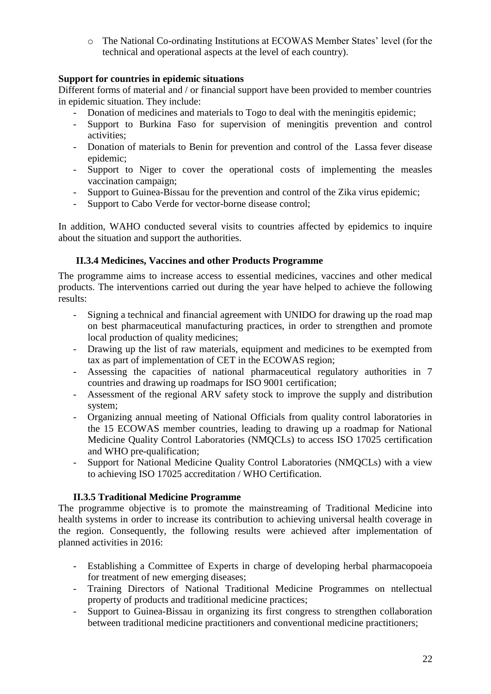o The National Co-ordinating Institutions at ECOWAS Member States' level (for the technical and operational aspects at the level of each country).

# **Support for countries in epidemic situations**

Different forms of material and / or financial support have been provided to member countries in epidemic situation. They include:

- Donation of medicines and materials to Togo to deal with the meningitis epidemic;
- Support to Burkina Faso for supervision of meningitis prevention and control activities;
- Donation of materials to Benin for prevention and control of the Lassa fever disease epidemic;
- Support to Niger to cover the operational costs of implementing the measles vaccination campaign;
- Support to Guinea-Bissau for the prevention and control of the Zika virus epidemic;
- Support to Cabo Verde for vector-borne disease control;

In addition, WAHO conducted several visits to countries affected by epidemics to inquire about the situation and support the authorities.

# **II.3.4 Medicines, Vaccines and other Products Programme**

<span id="page-21-0"></span>The programme aims to increase access to essential medicines, vaccines and other medical products. The interventions carried out during the year have helped to achieve the following results:

- Signing a technical and financial agreement with UNIDO for drawing up the road map on best pharmaceutical manufacturing practices, in order to strengthen and promote local production of quality medicines;
- Drawing up the list of raw materials, equipment and medicines to be exempted from tax as part of implementation of CET in the ECOWAS region;
- Assessing the capacities of national pharmaceutical regulatory authorities in 7 countries and drawing up roadmaps for ISO 9001 certification;
- Assessment of the regional ARV safety stock to improve the supply and distribution system;
- Organizing annual meeting of National Officials from quality control laboratories in the 15 ECOWAS member countries, leading to drawing up a roadmap for National Medicine Quality Control Laboratories (NMQCLs) to access ISO 17025 certification and WHO pre-qualification;
- Support for National Medicine Quality Control Laboratories (NMQCLs) with a view to achieving ISO 17025 accreditation / WHO Certification.

## **II.3.5 Traditional Medicine Programme**

<span id="page-21-1"></span>The programme objective is to promote the mainstreaming of Traditional Medicine into health systems in order to increase its contribution to achieving universal health coverage in the region. Consequently, the following results were achieved after implementation of planned activities in 2016:

- Establishing a Committee of Experts in charge of developing herbal pharmacopoeia for treatment of new emerging diseases;
- Training Directors of National Traditional Medicine Programmes on ntellectual property of products and traditional medicine practices;
- Support to Guinea-Bissau in organizing its first congress to strengthen collaboration between traditional medicine practitioners and conventional medicine practitioners;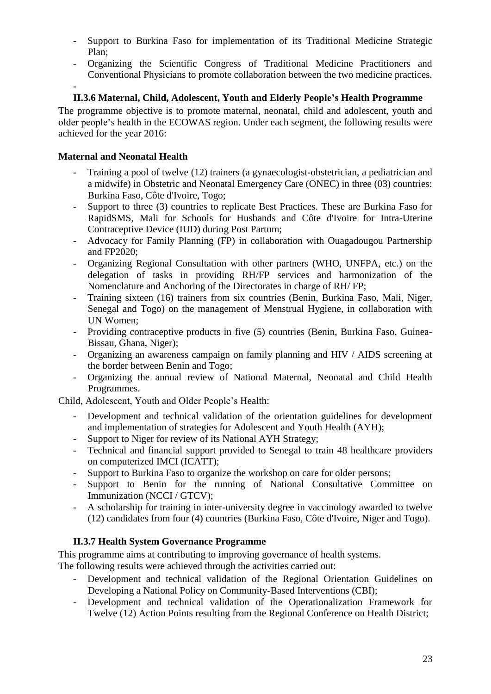- Support to Burkina Faso for implementation of its Traditional Medicine Strategic Plan;
- Organizing the Scientific Congress of Traditional Medicine Practitioners and Conventional Physicians to promote collaboration between the two medicine practices.

# **II.3.6 Maternal, Child, Adolescent, Youth and Elderly People's Health Programme**

<span id="page-22-0"></span>The programme objective is to promote maternal, neonatal, child and adolescent, youth and older people's health in the ECOWAS region. Under each segment, the following results were achieved for the year 2016:

## **Maternal and Neonatal Health**

-

- Training a pool of twelve (12) trainers (a gynaecologist-obstetrician, a pediatrician and a midwife) in Obstetric and Neonatal Emergency Care (ONEC) in three (03) countries: Burkina Faso, Côte d'Ivoire, Togo;
- Support to three (3) countries to replicate Best Practices. These are Burkina Faso for RapidSMS, Mali for Schools for Husbands and Côte d'Ivoire for Intra-Uterine Contraceptive Device (IUD) during Post Partum;
- Advocacy for Family Planning (FP) in collaboration with Ouagadougou Partnership and FP2020;
- Organizing Regional Consultation with other partners (WHO, UNFPA, etc.) on the delegation of tasks in providing RH/FP services and harmonization of the Nomenclature and Anchoring of the Directorates in charge of RH/ FP;
- Training sixteen (16) trainers from six countries (Benin, Burkina Faso, Mali, Niger, Senegal and Togo) on the management of Menstrual Hygiene, in collaboration with UN Women;
- Providing contraceptive products in five (5) countries (Benin, Burkina Faso, Guinea-Bissau, Ghana, Niger);
- Organizing an awareness campaign on family planning and HIV / AIDS screening at the border between Benin and Togo;
- Organizing the annual review of National Maternal, Neonatal and Child Health Programmes.

Child, Adolescent, Youth and Older People's Health:

- Development and technical validation of the orientation guidelines for development and implementation of strategies for Adolescent and Youth Health (AYH);
- Support to Niger for review of its National AYH Strategy;
- Technical and financial support provided to Senegal to train 48 healthcare providers on computerized IMCI (ICATT);
- Support to Burkina Faso to organize the workshop on care for older persons;
- Support to Benin for the running of National Consultative Committee on Immunization (NCCI / GTCV);
- A scholarship for training in inter-university degree in vaccinology awarded to twelve (12) candidates from four (4) countries (Burkina Faso, Côte d'Ivoire, Niger and Togo).

# **II.3.7 Health System Governance Programme**

<span id="page-22-1"></span>This programme aims at contributing to improving governance of health systems.

The following results were achieved through the activities carried out:

- Development and technical validation of the Regional Orientation Guidelines on Developing a National Policy on Community-Based Interventions (CBI);
- Development and technical validation of the Operationalization Framework for Twelve (12) Action Points resulting from the Regional Conference on Health District;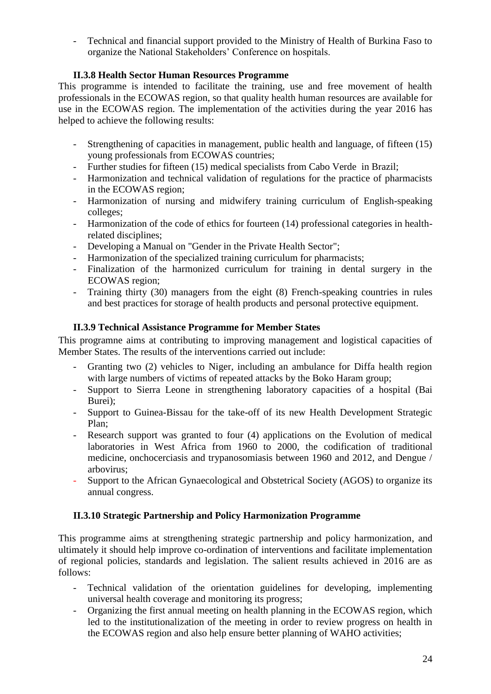- Technical and financial support provided to the Ministry of Health of Burkina Faso to organize the National Stakeholders' Conference on hospitals.

# **II.3.8 Health Sector Human Resources Programme**

<span id="page-23-0"></span>This programme is intended to facilitate the training, use and free movement of health professionals in the ECOWAS region, so that quality health human resources are available for use in the ECOWAS region. The implementation of the activities during the year 2016 has helped to achieve the following results:

- Strengthening of capacities in management, public health and language, of fifteen (15) young professionals from ECOWAS countries;
- Further studies for fifteen (15) medical specialists from Cabo Verde in Brazil;
- Harmonization and technical validation of regulations for the practice of pharmacists in the ECOWAS region;
- Harmonization of nursing and midwifery training curriculum of English-speaking colleges;
- Harmonization of the code of ethics for fourteen (14) professional categories in healthrelated disciplines;
- Developing a Manual on "Gender in the Private Health Sector";
- Harmonization of the specialized training curriculum for pharmacists;
- Finalization of the harmonized curriculum for training in dental surgery in the ECOWAS region;
- Training thirty (30) managers from the eight (8) French-speaking countries in rules and best practices for storage of health products and personal protective equipment.

# **II.3.9 Technical Assistance Programme for Member States**

<span id="page-23-1"></span>This programne aims at contributing to improving management and logistical capacities of Member States. The results of the interventions carried out include:

- Granting two (2) vehicles to Niger, including an ambulance for Diffa health region with large numbers of victims of repeated attacks by the Boko Haram group;
- Support to Sierra Leone in strengthening laboratory capacities of a hospital (Bai Burei);
- Support to Guinea-Bissau for the take-off of its new Health Development Strategic Plan;
- Research support was granted to four (4) applications on the Evolution of medical laboratories in West Africa from 1960 to 2000, the codification of traditional medicine, onchocerciasis and trypanosomiasis between 1960 and 2012, and Dengue / arbovirus;
- Support to the African Gynaecological and Obstetrical Society (AGOS) to organize its annual congress.

# <span id="page-23-2"></span>**II.3.10 Strategic Partnership and Policy Harmonization Programme**

This programme aims at strengthening strategic partnership and policy harmonization, and ultimately it should help improve co-ordination of interventions and facilitate implementation of regional policies, standards and legislation. The salient results achieved in 2016 are as follows:

- Technical validation of the orientation guidelines for developing, implementing universal health coverage and monitoring its progress;
- Organizing the first annual meeting on health planning in the ECOWAS region, which led to the institutionalization of the meeting in order to review progress on health in the ECOWAS region and also help ensure better planning of WAHO activities;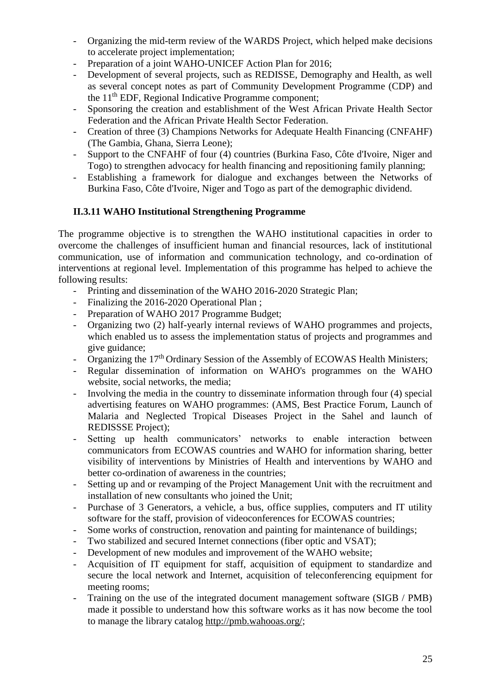- Organizing the mid-term review of the WARDS Project, which helped make decisions to accelerate project implementation;
- Preparation of a joint WAHO-UNICEF Action Plan for 2016;
- Development of several projects, such as REDISSE, Demography and Health, as well as several concept notes as part of Community Development Programme (CDP) and the 11<sup>th</sup> EDF, Regional Indicative Programme component;
- Sponsoring the creation and establishment of the West African Private Health Sector Federation and the African Private Health Sector Federation.
- Creation of three (3) Champions Networks for Adequate Health Financing (CNFAHF) (The Gambia, Ghana, Sierra Leone);
- Support to the CNFAHF of four (4) countries (Burkina Faso, Côte d'Ivoire, Niger and Togo) to strengthen advocacy for health financing and repositioning family planning;
- Establishing a framework for dialogue and exchanges between the Networks of Burkina Faso, Côte d'Ivoire, Niger and Togo as part of the demographic dividend.

# <span id="page-24-0"></span>**II.3.11 WAHO Institutional Strengthening Programme**

The programme objective is to strengthen the WAHO institutional capacities in order to overcome the challenges of insufficient human and financial resources, lack of institutional communication, use of information and communication technology, and co-ordination of interventions at regional level. Implementation of this programme has helped to achieve the following results:

- Printing and dissemination of the WAHO 2016-2020 Strategic Plan;
- Finalizing the 2016-2020 Operational Plan ;
- Preparation of WAHO 2017 Programme Budget;
- Organizing two (2) half-yearly internal reviews of WAHO programmes and projects, which enabled us to assess the implementation status of projects and programmes and give guidance;
- Organizing the 17<sup>th</sup> Ordinary Session of the Assembly of ECOWAS Health Ministers;
- Regular dissemination of information on WAHO's programmes on the WAHO website, social networks, the media;
- Involving the media in the country to disseminate information through four (4) special advertising features on WAHO programmes: (AMS, Best Practice Forum, Launch of Malaria and Neglected Tropical Diseases Project in the Sahel and launch of REDISSSE Project);
- Setting up health communicators' networks to enable interaction between communicators from ECOWAS countries and WAHO for information sharing, better visibility of interventions by Ministries of Health and interventions by WAHO and better co-ordination of awareness in the countries;
- Setting up and or revamping of the Project Management Unit with the recruitment and installation of new consultants who joined the Unit;
- Purchase of 3 Generators, a vehicle, a bus, office supplies, computers and IT utility software for the staff, provision of videoconferences for ECOWAS countries;
- Some works of construction, renovation and painting for maintenance of buildings;
- Two stabilized and secured Internet connections (fiber optic and VSAT);
- Development of new modules and improvement of the WAHO website;
- Acquisition of IT equipment for staff, acquisition of equipment to standardize and secure the local network and Internet, acquisition of teleconferencing equipment for meeting rooms;
- Training on the use of the integrated document management software (SIGB / PMB) made it possible to understand how this software works as it has now become the tool to manage the library catalog [http://pmb.wahooas.org/;](http://pmb.wahooas.org/)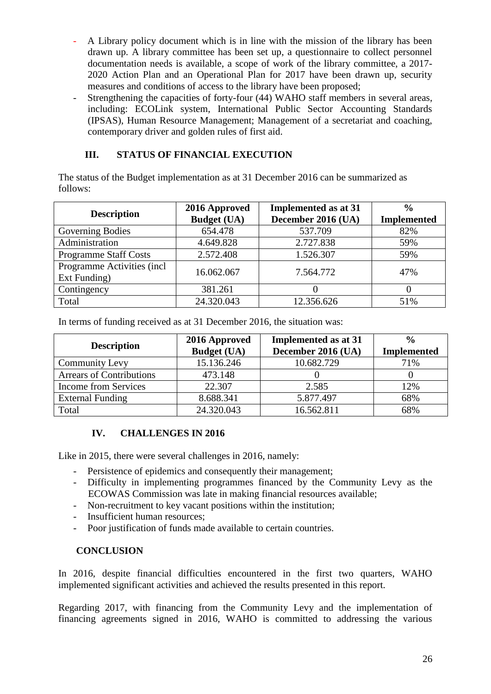- A Library policy document which is in line with the mission of the library has been drawn up. A library committee has been set up, a questionnaire to collect personnel documentation needs is available, a scope of work of the library committee, a 2017- 2020 Action Plan and an Operational Plan for 2017 have been drawn up, security measures and conditions of access to the library have been proposed;
- Strengthening the capacities of forty-four (44) WAHO staff members in several areas, including: ECOLink system, International Public Sector Accounting Standards (IPSAS), Human Resource Management; Management of a secretariat and coaching, contemporary driver and golden rules of first aid.

# **III. STATUS OF FINANCIAL EXECUTION**

<span id="page-25-0"></span>The status of the Budget implementation as at 31 December 2016 can be summarized as follows:

| <b>Description</b>                          | 2016 Approved<br><b>Budget (UA)</b> | <b>Implemented as at 31</b><br>December 2016 (UA) | $\frac{0}{0}$<br><b>Implemented</b> |
|---------------------------------------------|-------------------------------------|---------------------------------------------------|-------------------------------------|
| Governing Bodies                            | 654.478                             | 537.709                                           | 82%                                 |
| Administration                              | 4.649.828                           | 2.727.838                                         | 59%                                 |
| <b>Programme Staff Costs</b>                | 2.572.408                           | 1.526.307                                         | 59%                                 |
| Programme Activities (incl.<br>Ext Funding) | 16.062.067                          | 7.564.772                                         | 47%                                 |
| Contingency                                 | 381.261                             |                                                   | 0                                   |
| Total                                       | 24.320.043                          | 12.356.626                                        | 51%                                 |

In terms of funding received as at 31 December 2016, the situation was:

| <b>Description</b>              | 2016 Approved      | <b>Implemented as at 31</b> |                    |
|---------------------------------|--------------------|-----------------------------|--------------------|
|                                 | <b>Budget (UA)</b> | December 2016 (UA)          | <b>Implemented</b> |
| Community Levy                  | 15.136.246         | 10.682.729                  | 71%                |
| <b>Arrears of Contributions</b> | 473.148            |                             |                    |
| <b>Income from Services</b>     | 22.307             | 2.585                       | 12%                |
| <b>External Funding</b>         | 8.688.341          | 5.877.497                   | 68%                |
| Total                           | 24.320.043         | 16.562.811                  | 68%                |

## <span id="page-25-1"></span>**IV. CHALLENGES IN 2016**

Like in 2015, there were several challenges in 2016, namely:

- Persistence of epidemics and consequently their management;
- Difficulty in implementing programmes financed by the Community Levy as the ECOWAS Commission was late in making financial resources available;
- Non-recruitment to key vacant positions within the institution;
- Insufficient human resources:
- Poor justification of funds made available to certain countries.

## <span id="page-25-2"></span>**CONCLUSION**

In 2016, despite financial difficulties encountered in the first two quarters, WAHO implemented significant activities and achieved the results presented in this report.

Regarding 2017, with financing from the Community Levy and the implementation of financing agreements signed in 2016, WAHO is committed to addressing the various